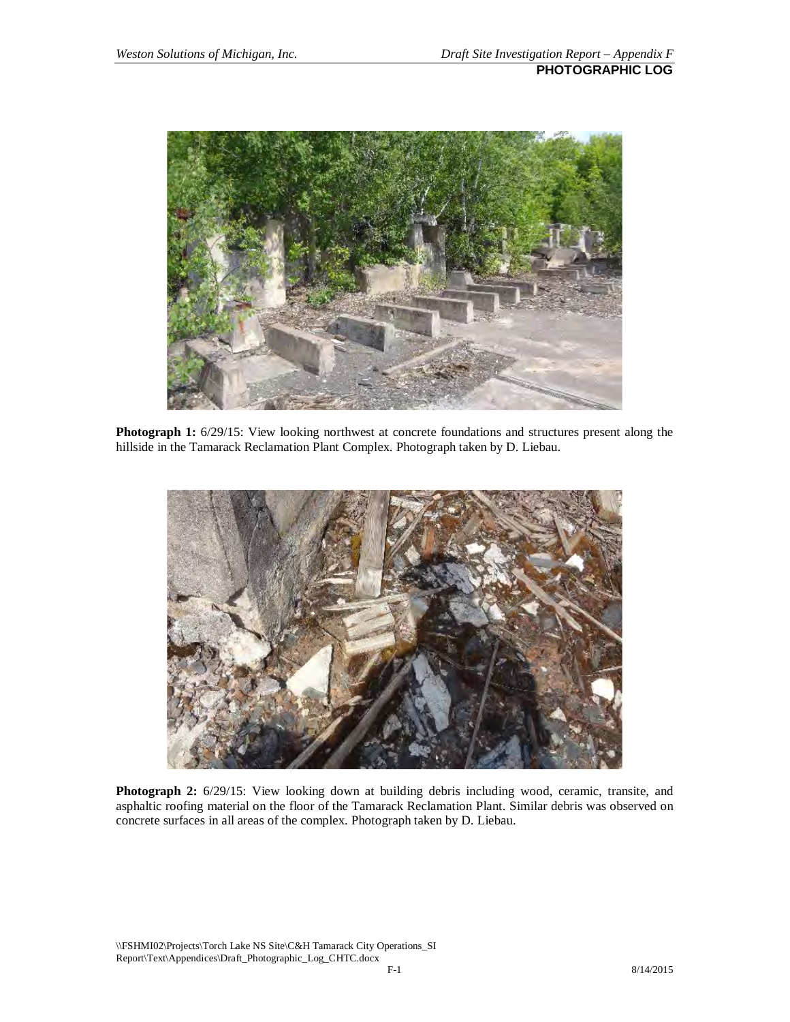

**Photograph 1:** 6/29/15: View looking northwest at concrete foundations and structures present along the hillside in the Tamarack Reclamation Plant Complex. Photograph taken by D. Liebau.



**Photograph 2:** 6/29/15: View looking down at building debris including wood, ceramic, transite, and asphaltic roofing material on the floor of the Tamarack Reclamation Plant. Similar debris was observed on concrete surfaces in all areas of the complex. Photograph taken by D. Liebau.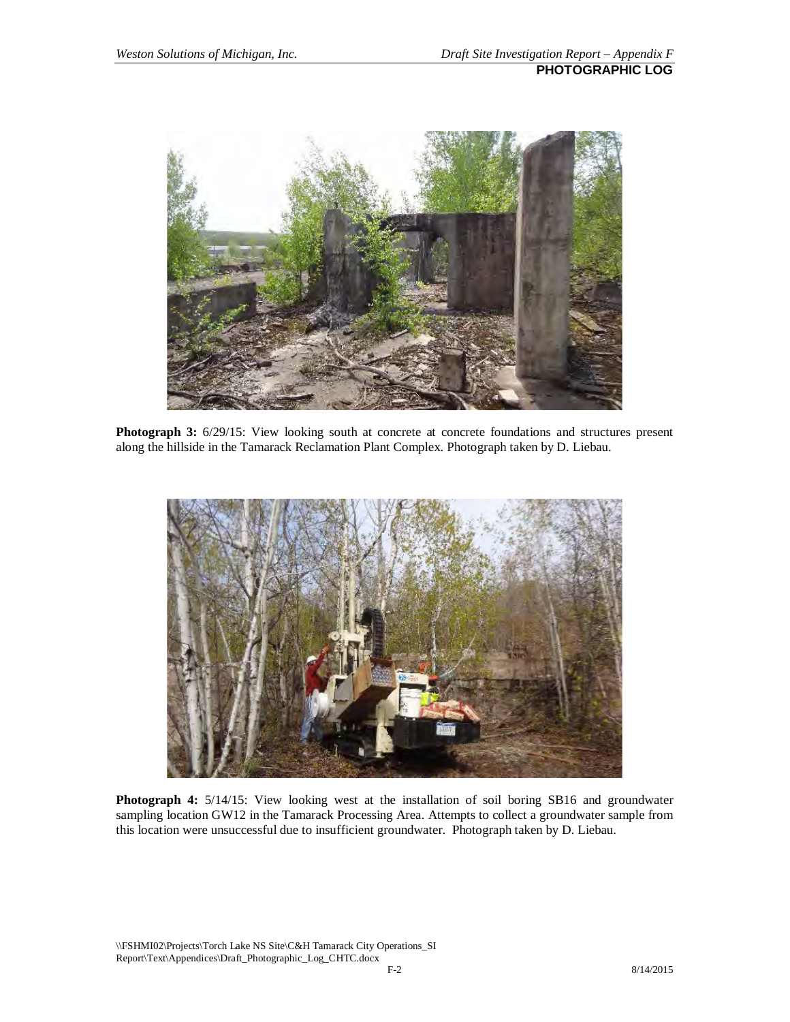

**Photograph 3:** 6/29/15: View looking south at concrete at concrete foundations and structures present along the hillside in the Tamarack Reclamation Plant Complex. Photograph taken by D. Liebau.



**Photograph 4:** 5/14/15: View looking west at the installation of soil boring SB16 and groundwater sampling location GW12 in the Tamarack Processing Area. Attempts to collect a groundwater sample from this location were unsuccessful due to insufficient groundwater. Photograph taken by D. Liebau.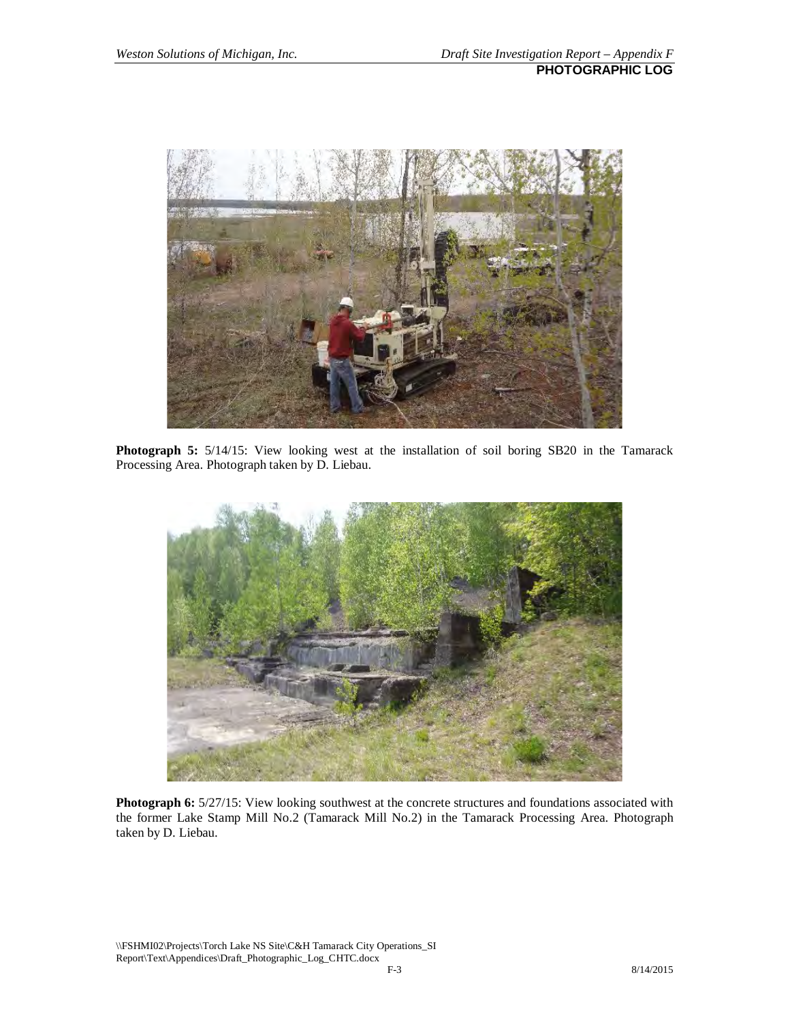

**Photograph 5:** 5/14/15: View looking west at the installation of soil boring SB20 in the Tamarack Processing Area. Photograph taken by D. Liebau.



**Photograph 6:**  $5/27/15$ : View looking southwest at the concrete structures and foundations associated with the former Lake Stamp Mill No.2 (Tamarack Mill No.2) in the Tamarack Processing Area. Photograph taken by D. Liebau.

\\FSHMI02\Projects\Torch Lake NS Site\C&H Tamarack City Operations\_SI Report\Text\Appendices\Draft\_Photographic\_Log\_CHTC.docx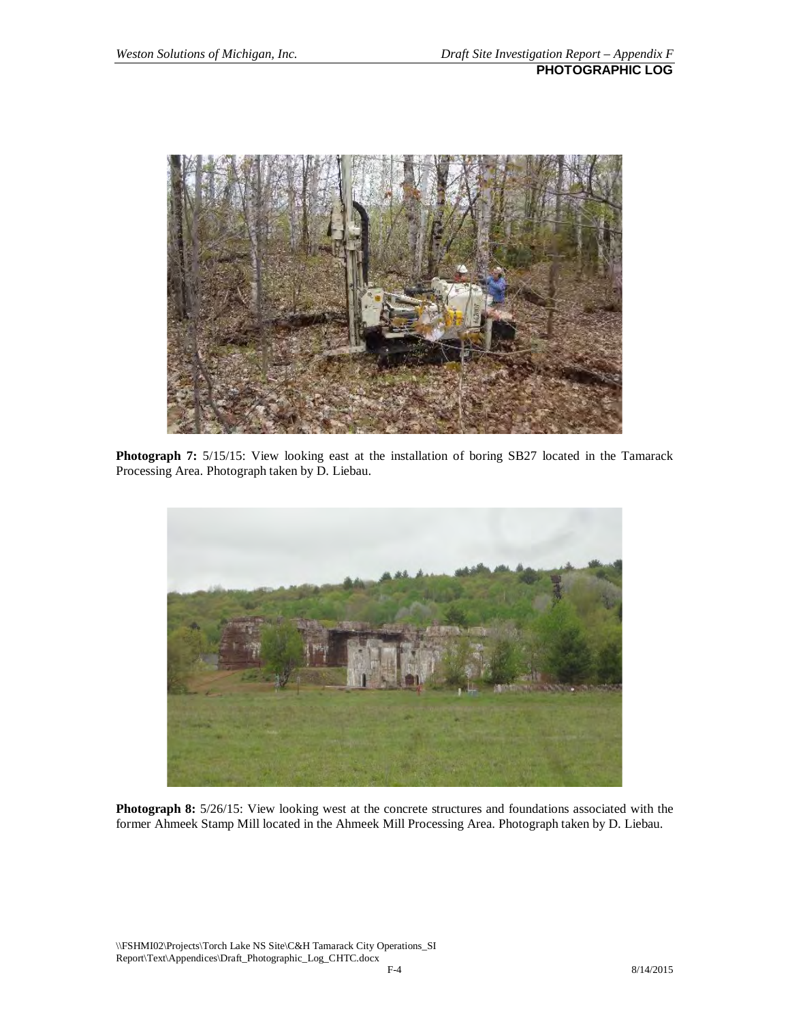

**Photograph 7:** 5/15/15: View looking east at the installation of boring SB27 located in the Tamarack Processing Area. Photograph taken by D. Liebau.



**Photograph 8:**  $5/26/15$ : View looking west at the concrete structures and foundations associated with the former Ahmeek Stamp Mill located in the Ahmeek Mill Processing Area. Photograph taken by D. Liebau.

\\FSHMI02\Projects\Torch Lake NS Site\C&H Tamarack City Operations\_SI Report\Text\Appendices\Draft\_Photographic\_Log\_CHTC.docx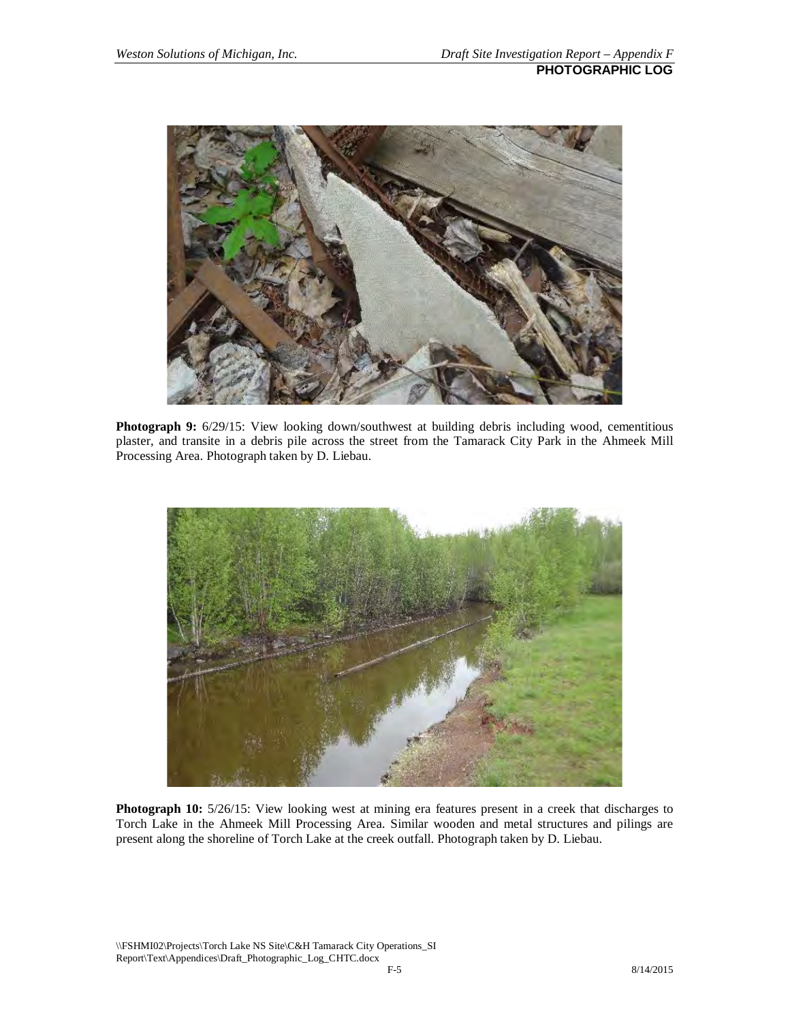

**Photograph 9:** 6/29/15: View looking down/southwest at building debris including wood, cementitious plaster, and transite in a debris pile across the street from the Tamarack City Park in the Ahmeek Mill Processing Area. Photograph taken by D. Liebau.



**Photograph 10:** 5/26/15: View looking west at mining era features present in a creek that discharges to Torch Lake in the Ahmeek Mill Processing Area. Similar wooden and metal structures and pilings are present along the shoreline of Torch Lake at the creek outfall. Photograph taken by D. Liebau.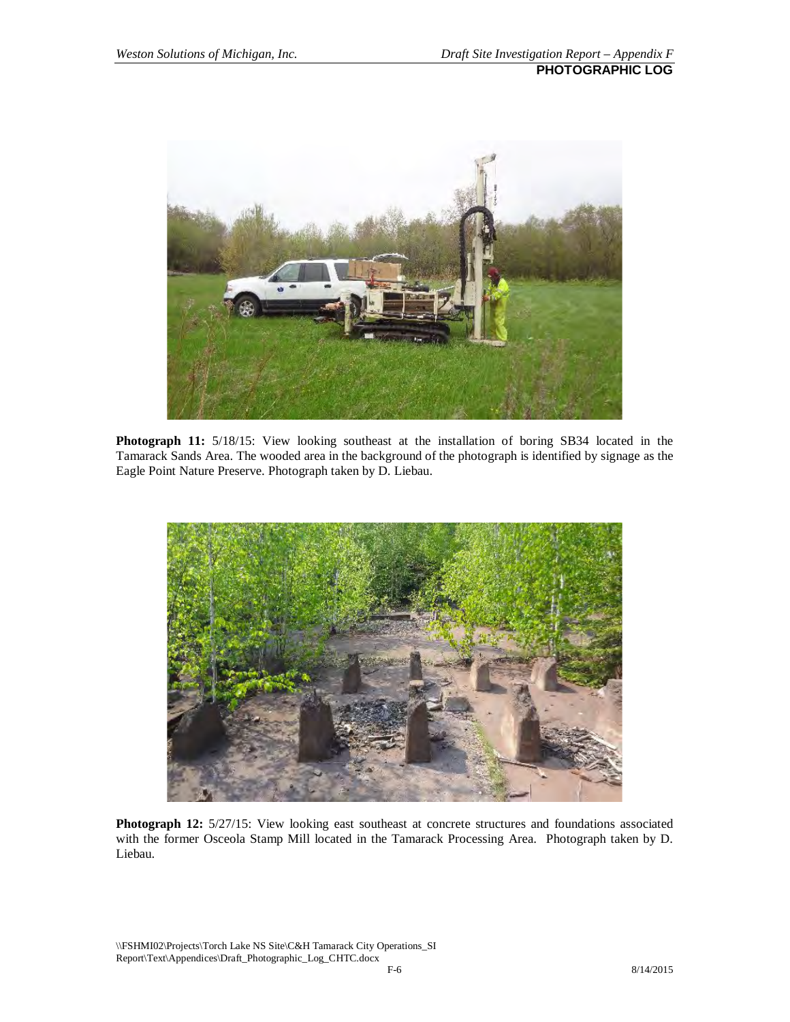

**Photograph 11:** 5/18/15: View looking southeast at the installation of boring SB34 located in the Tamarack Sands Area. The wooded area in the background of the photograph is identified by signage as the Eagle Point Nature Preserve. Photograph taken by D. Liebau.



**Photograph 12:** 5/27/15: View looking east southeast at concrete structures and foundations associated with the former Osceola Stamp Mill located in the Tamarack Processing Area. Photograph taken by D. Liebau.